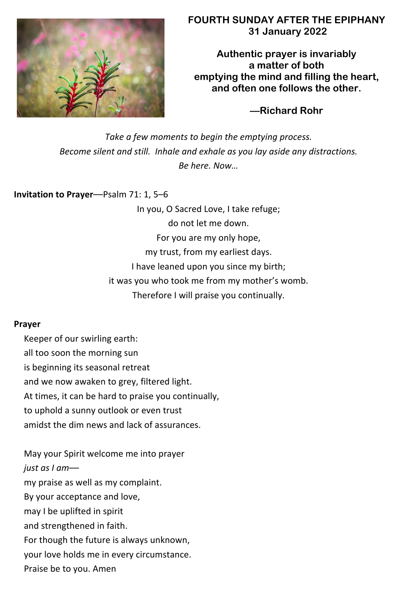

# **FOURTH SUNDAY AFTER THE EPIPHANY 31 January 2022**

**Authentic prayer is invariably a matter of both emptying the mind and filling the heart, and often one follows the other.**

**––Richard Rohr**

*Take a few moments to begin the emptying process. Become silent and still. Inhale and exhale as you lay aside any distractions. Be here. Now…*

**Invitation to Prayer**––Psalm 71: 1, 5–6

In you, O Sacred Love, I take refuge; do not let me down. For you are my only hope, my trust, from my earliest days. I have leaned upon you since my birth; it was you who took me from my mother's womb. Therefore I will praise you continually.

## **Prayer**

Keeper of our swirling earth: all too soon the morning sun is beginning its seasonal retreat and we now awaken to grey, filtered light. At times, it can be hard to praise you continually, to uphold a sunny outlook or even trust amidst the dim news and lack of assurances.

May your Spirit welcome me into prayer *just as I am*–– my praise as well as my complaint. By your acceptance and love, may I be uplifted in spirit and strengthened in faith. For though the future is always unknown, your love holds me in every circumstance. Praise be to you. Amen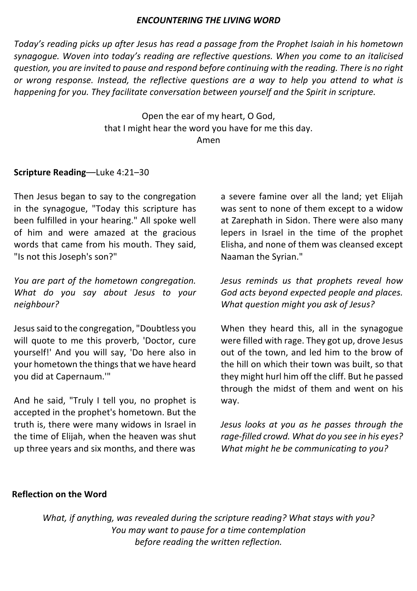### *ENCOUNTERING THE LIVING WORD*

*Today's reading picks up after Jesus has read a passage from the Prophet Isaiah in his hometown synagogue. Woven into today's reading are reflective questions. When you come to an italicised question, you are invited to pause and respond before continuing with the reading. There is no right or wrong response. Instead, the reflective questions are a way to help you attend to what is happening for you. They facilitate conversation between yourself and the Spirit in scripture.*

> Open the ear of my heart, O God, that I might hear the word you have for me this day. Amen

## **Scripture Reading**––Luke 4:21–30

Then Jesus began to say to the congregation in the synagogue, "Today this scripture has been fulfilled in your hearing." All spoke well of him and were amazed at the gracious words that came from his mouth. They said, "Is not this Joseph's son?"

*You are part of the hometown congregation. What do you say about Jesus to your neighbour?*

Jesus said to the congregation, "Doubtless you will quote to me this proverb, 'Doctor, cure yourself!' And you will say, 'Do here also in your hometown the things that we have heard you did at Capernaum.'"

And he said, "Truly I tell you, no prophet is accepted in the prophet's hometown. But the truth is, there were many widows in Israel in the time of Elijah, when the heaven was shut up three years and six months, and there was

a severe famine over all the land; yet Elijah was sent to none of them except to a widow at Zarephath in Sidon. There were also many lepers in Israel in the time of the prophet Elisha, and none of them was cleansed except Naaman the Syrian."

*Jesus reminds us that prophets reveal how God acts beyond expected people and places. What question might you ask of Jesus?*

When they heard this, all in the synagogue were filled with rage. They got up, drove Jesus out of the town, and led him to the brow of the hill on which their town was built, so that they might hurl him off the cliff. But he passed through the midst of them and went on his way.

*Jesus looks at you as he passes through the rage-filled crowd. What do you see in his eyes? What might he be communicating to you?*

### **Reflection on the Word**

*What, if anything, was revealed during the scripture reading? What stays with you? You may want to pause for a time contemplation before reading the written reflection.*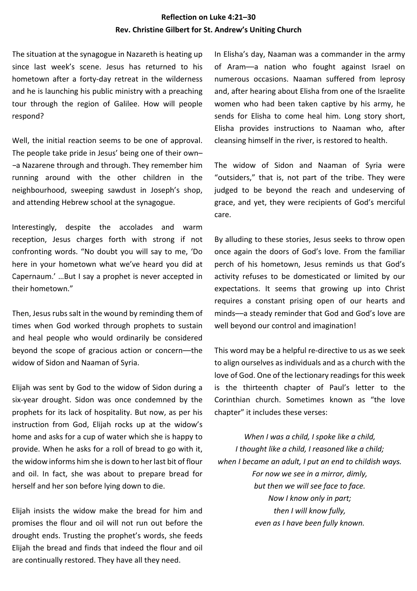#### **Reflection on Luke 4:21–30 Rev. Christine Gilbert for St. Andrew's Uniting Church**

The situation at the synagogue in Nazareth is heating up since last week's scene. Jesus has returned to his hometown after a forty-day retreat in the wilderness and he is launching his public ministry with a preaching tour through the region of Galilee. How will people respond?

Well, the initial reaction seems to be one of approval. The people take pride in Jesus' being one of their own– –a Nazarene through and through. They remember him running around with the other children in the neighbourhood, sweeping sawdust in Joseph's shop, and attending Hebrew school at the synagogue.

Interestingly, despite the accolades and warm reception, Jesus charges forth with strong if not confronting words. "No doubt you will say to me, 'Do here in your hometown what we've heard you did at Capernaum.' …But I say a prophet is never accepted in their hometown."

Then, Jesus rubs salt in the wound by reminding them of times when God worked through prophets to sustain and heal people who would ordinarily be considered beyond the scope of gracious action or concern––the widow of Sidon and Naaman of Syria.

Elijah was sent by God to the widow of Sidon during a six-year drought. Sidon was once condemned by the prophets for its lack of hospitality. But now, as per his instruction from God, Elijah rocks up at the widow's home and asks for a cup of water which she is happy to provide. When he asks for a roll of bread to go with it, the widow informs him she is down to her last bit of flour and oil. In fact, she was about to prepare bread for herself and her son before lying down to die.

Elijah insists the widow make the bread for him and promises the flour and oil will not run out before the drought ends. Trusting the prophet's words, she feeds Elijah the bread and finds that indeed the flour and oil are continually restored. They have all they need.

In Elisha's day, Naaman was a commander in the army of Aram––a nation who fought against Israel on numerous occasions. Naaman suffered from leprosy and, after hearing about Elisha from one of the Israelite women who had been taken captive by his army, he sends for Elisha to come heal him. Long story short, Elisha provides instructions to Naaman who, after cleansing himself in the river, is restored to health.

The widow of Sidon and Naaman of Syria were "outsiders," that is, not part of the tribe. They were judged to be beyond the reach and undeserving of grace, and yet, they were recipients of God's merciful care.

By alluding to these stories, Jesus seeks to throw open once again the doors of God's love. From the familiar perch of his hometown, Jesus reminds us that God's activity refuses to be domesticated or limited by our expectations. It seems that growing up into Christ requires a constant prising open of our hearts and minds––a steady reminder that God and God's love are well beyond our control and imagination!

This word may be a helpful re-directive to us as we seek to align ourselves as individuals and as a church with the love of God. One of the lectionary readings for this week is the thirteenth chapter of Paul's letter to the Corinthian church. Sometimes known as "the love chapter" it includes these verses:

*When I was a child, I spoke like a child, I thought like a child, I reasoned like a child; when I became an adult, I put an end to childish ways. For now we see in a mirror, dimly, but then we will see face to face. Now I know only in part; then I will know fully, even as I have been fully known.*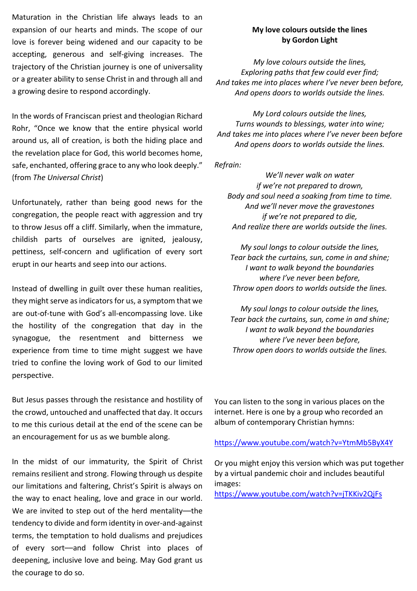Maturation in the Christian life always leads to an expansion of our hearts and minds. The scope of our love is forever being widened and our capacity to be accepting, generous and self-giving increases. The trajectory of the Christian journey is one of universality or a greater ability to sense Christ in and through all and a growing desire to respond accordingly.

In the words of Franciscan priest and theologian Richard Rohr, "Once we know that the entire physical world around us, all of creation, is both the hiding place and the revelation place for God, this world becomes home, safe, enchanted, offering grace to any who look deeply." (from *The Universal Christ*)

Unfortunately, rather than being good news for the congregation, the people react with aggression and try to throw Jesus off a cliff. Similarly, when the immature, childish parts of ourselves are ignited, jealousy, pettiness, self-concern and uglification of every sort erupt in our hearts and seep into our actions.

Instead of dwelling in guilt over these human realities, they might serve as indicators for us, a symptom that we are out-of-tune with God's all-encompassing love. Like the hostility of the congregation that day in the synagogue, the resentment and bitterness we experience from time to time might suggest we have tried to confine the loving work of God to our limited perspective.

But Jesus passes through the resistance and hostility of the crowd, untouched and unaffected that day. It occurs to me this curious detail at the end of the scene can be an encouragement for us as we bumble along.

In the midst of our immaturity, the Spirit of Christ remains resilient and strong. Flowing through us despite our limitations and faltering, Christ's Spirit is always on the way to enact healing, love and grace in our world. We are invited to step out of the herd mentality--the tendency to divide and form identity in over-and-against terms, the temptation to hold dualisms and prejudices of every sort––and follow Christ into places of deepening, inclusive love and being. May God grant us the courage to do so.

#### **My love colours outside the lines by Gordon Light**

*My love colours outside the lines, Exploring paths that few could ever find; And takes me into places where I've never been before, And opens doors to worlds outside the lines.*

*My Lord colours outside the lines, Turns wounds to blessings, water into wine; And takes me into places where I've never been before And opens doors to worlds outside the lines.*

*Refrain:*

*We'll never walk on water if we're not prepared to drown, Body and soul need a soaking from time to time. And we'll never move the gravestones if we're not prepared to die, And realize there are worlds outside the lines.*

*My soul longs to colour outside the lines, Tear back the curtains, sun, come in and shine; I want to walk beyond the boundaries where I've never been before, Throw open doors to worlds outside the lines.*

*My soul longs to colour outside the lines, Tear back the curtains, sun, come in and shine; I want to walk beyond the boundaries where I've never been before, Throw open doors to worlds outside the lines.*

You can listen to the song in various places on the internet. Here is one by a group who recorded an album of contemporary Christian hymns:

#### https://www.youtube.com/watch?v=YtmMb5ByX4Y

Or you might enjoy this version which was put together by a virtual pandemic choir and includes beautiful images:

https://www.youtube.com/watch?v=jTKKiv2QjFs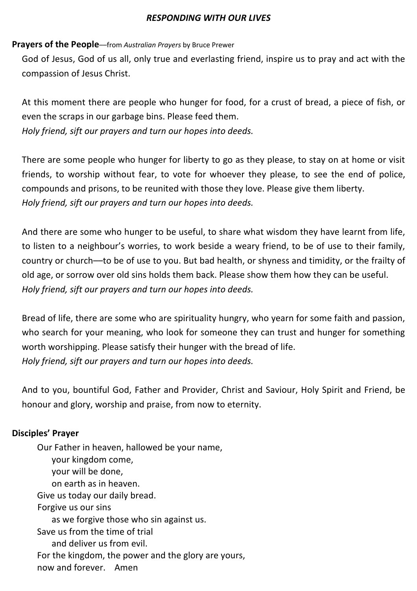## *RESPONDING WITH OUR LIVES*

## **Prayers of the People**––from *Australian Prayers* by Bruce Prewer

God of Jesus, God of us all, only true and everlasting friend, inspire us to pray and act with the compassion of Jesus Christ.

At this moment there are people who hunger for food, for a crust of bread, a piece of fish, or even the scraps in our garbage bins. Please feed them. *Holy friend, sift our prayers and turn our hopes into deeds.*

There are some people who hunger for liberty to go as they please, to stay on at home or visit friends, to worship without fear, to vote for whoever they please, to see the end of police, compounds and prisons, to be reunited with those they love. Please give them liberty. *Holy friend, sift our prayers and turn our hopes into deeds.*

And there are some who hunger to be useful, to share what wisdom they have learnt from life, to listen to a neighbour's worries, to work beside a weary friend, to be of use to their family, country or church––to be of use to you. But bad health, or shyness and timidity, or the frailty of old age, or sorrow over old sins holds them back. Please show them how they can be useful. *Holy friend, sift our prayers and turn our hopes into deeds.*

Bread of life, there are some who are spirituality hungry, who yearn for some faith and passion, who search for your meaning, who look for someone they can trust and hunger for something worth worshipping. Please satisfy their hunger with the bread of life. *Holy friend, sift our prayers and turn our hopes into deeds.*

And to you, bountiful God, Father and Provider, Christ and Saviour, Holy Spirit and Friend, be honour and glory, worship and praise, from now to eternity.

# **Disciples' Prayer**

Our Father in heaven, hallowed be your name, your kingdom come, your will be done, on earth as in heaven. Give us today our daily bread. Forgive us our sins as we forgive those who sin against us. Save us from the time of trial and deliver us from evil. For the kingdom, the power and the glory are yours, now and forever. Amen